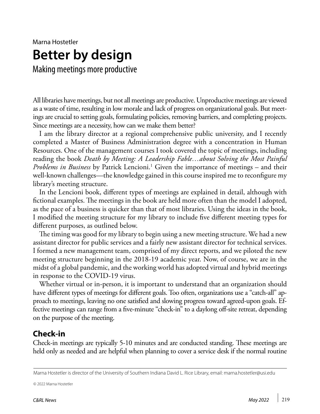# Marna Hostetler **Better by design**

Making meetings more productive

All libraries have meetings, but not all meetings are productive. Unproductive meetings are viewed as a waste of time, resulting in low morale and lack of progress on organizational goals. But meetings are crucial to setting goals, formulating policies, removing barriers, and completing projects. Since meetings are a necessity, how can we make them better?

I am the library director at a regional comprehensive public university, and I recently completed a Master of Business Administration degree with a concentration in Human Resources. One of the management courses I took covered the topic of meetings, including reading the book *Death by Meeting: A Leadership Fable…about Solving the Most Painful*  Problems in Business by Patrick Lencioni.<sup>1</sup> Given the importance of meetings – and their well-known challenges—the knowledge gained in this course inspired me to reconfigure my library's meeting structure.

In the Lencioni book, different types of meetings are explained in detail, although with fictional examples. The meetings in the book are held more often than the model I adopted, as the pace of a business is quicker than that of most libraries. Using the ideas in the book, I modified the meeting structure for my library to include five different meeting types for different purposes, as outlined below.

The timing was good for my library to begin using a new meeting structure. We had a new assistant director for public services and a fairly new assistant director for technical services. I formed a new management team, comprised of my direct reports, and we piloted the new meeting structure beginning in the 2018-19 academic year. Now, of course, we are in the midst of a global pandemic, and the working world has adopted virtual and hybrid meetings in response to the COVID-19 virus.

Whether virtual or in-person, it is important to understand that an organization should have different types of meetings for different goals. Too often, organizations use a "catch-all" approach to meetings, leaving no one satisfied and slowing progress toward agreed-upon goals. Effective meetings can range from a five-minute "check-in" to a daylong off-site retreat, depending on the purpose of the meeting.

# **Check-in**

Check-in meetings are typically 5-10 minutes and are conducted standing. These meetings are held only as needed and are helpful when planning to cover a service desk if the normal routine

© 2022 Marna Hostetler

Marna Hostetler is director of the University of Southern Indiana David L. Rice Library, email: [marna.hostetler@usi.edu](mailto:?subject=)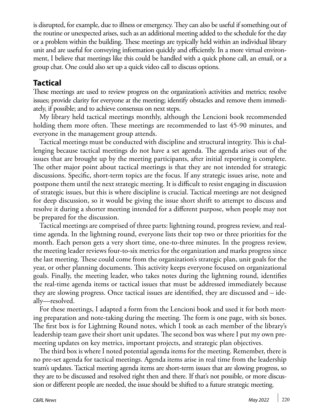is disrupted, for example, due to illness or emergency. They can also be useful if something out of the routine or unexpected arises, such as an additional meeting added to the schedule for the day or a problem within the building. These meetings are typically held within an individual library unit and are useful for conveying information quickly and efficiently. In a more virtual environment, I believe that meetings like this could be handled with a quick phone call, an email, or a group chat. One could also set up a quick video call to discuss options.

# **Tactical**

These meetings are used to review progress on the organization's activities and metrics; resolve issues; provide clarity for everyone at the meeting; identify obstacles and remove them immediately, if possible; and to achieve consensus on next steps.

My library held tactical meetings monthly, although the Lencioni book recommended holding them more often. These meetings are recommended to last 45-90 minutes, and everyone in the management group attends.

Tactical meetings must be conducted with discipline and structural integrity. This is challenging because tactical meetings do not have a set agenda. The agenda arises out of the issues that are brought up by the meeting participants, after initial reporting is complete. The other major point about tactical meetings is that they are not intended for strategic discussions. Specific, short-term topics are the focus. If any strategic issues arise, note and postpone them until the next strategic meeting. It is difficult to resist engaging in discussion of strategic issues, but this is where discipline is crucial. Tactical meetings are not designed for deep discussion, so it would be giving the issue short shrift to attempt to discuss and resolve it during a shorter meeting intended for a different purpose, when people may not be prepared for the discussion.

Tactical meetings are comprised of three parts: lightning round, progress review, and realtime agenda. In the lightning round, everyone lists their top two or three priorities for the month. Each person gets a very short time, one-to-three minutes. In the progress review, the meeting leader reviews four-to-six metrics for the organization and marks progress since the last meeting. These could come from the organization's strategic plan, unit goals for the year, or other planning documents. This activity keeps everyone focused on organizational goals. Finally, the meeting leader, who takes notes during the lightning round, identifies the real-time agenda items or tactical issues that must be addressed immediately because they are slowing progress. Once tactical issues are identified, they are discussed and – ideally—resolved.

For these meetings, I adapted a form from the Lencioni book and used it for both meeting preparation and note-taking during the meeting. The form is one page, with six boxes. The first box is for Lightning Round notes, which I took as each member of the library's leadership team gave their short unit updates. The second box was where I put my own premeeting updates on key metrics, important projects, and strategic plan objectives.

The third box is where I noted potential agenda items for the meeting. Remember, there is no pre-set agenda for tactical meetings. Agenda items arise in real time from the leadership team's updates. Tactical meeting agenda items are short-term issues that are slowing progress, so they are to be discussed and resolved right then and there. If that's not possible, or more discussion or different people are needed, the issue should be shifted to a future strategic meeting.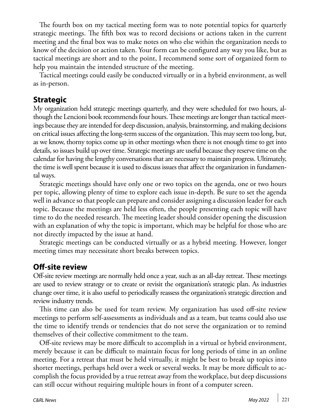The fourth box on my tactical meeting form was to note potential topics for quarterly strategic meetings. The fifth box was to record decisions or actions taken in the current meeting and the final box was to make notes on who else within the organization needs to know of the decision or action taken. Your form can be configured any way you like, but as tactical meetings are short and to the point, I recommend some sort of organized form to help you maintain the intended structure of the meeting.

Tactical meetings could easily be conducted virtually or in a hybrid environment, as well as in-person.

#### **Strategic**

My organization held strategic meetings quarterly, and they were scheduled for two hours, although the Lencioni book recommends four hours. These meetings are longer than tactical meetings because they are intended for deep discussion, analysis, brainstorming, and making decisions on critical issues affecting the long-term success of the organization. This may seem too long, but, as we know, thorny topics come up in other meetings when there is not enough time to get into details, so issues build up over time. Strategic meetings are useful because they reserve time on the calendar for having the lengthy conversations that are necessary to maintain progress. Ultimately, the time is well spent because it is used to discuss issues that affect the organization in fundamental ways.

Strategic meetings should have only one or two topics on the agenda, one or two hours per topic, allowing plenty of time to explore each issue in-depth. Be sure to set the agenda well in advance so that people can prepare and consider assigning a discussion leader for each topic. Because the meetings are held less often, the people presenting each topic will have time to do the needed research. The meeting leader should consider opening the discussion with an explanation of why the topic is important, which may be helpful for those who are not directly impacted by the issue at hand.

Strategic meetings can be conducted virtually or as a hybrid meeting. However, longer meeting times may necessitate short breaks between topics.

# **Off-site review**

Off-site review meetings are normally held once a year, such as an all-day retreat. These meetings are used to review strategy or to create or revisit the organization's strategic plan. As industries change over time, it is also useful to periodically reassess the organization's strategic direction and review industry trends.

This time can also be used for team review. My organization has used off-site review meetings to perform self-assessments as individuals and as a team, but teams could also use the time to identify trends or tendencies that do not serve the organization or to remind themselves of their collective commitment to the team.

Off-site reviews may be more difficult to accomplish in a virtual or hybrid environment, merely because it can be difficult to maintain focus for long periods of time in an online meeting. For a retreat that must be held virtually, it might be best to break up topics into shorter meetings, perhaps held over a week or several weeks. It may be more difficult to accomplish the focus provided by a true retreat away from the workplace, but deep discussions can still occur without requiring multiple hours in front of a computer screen.